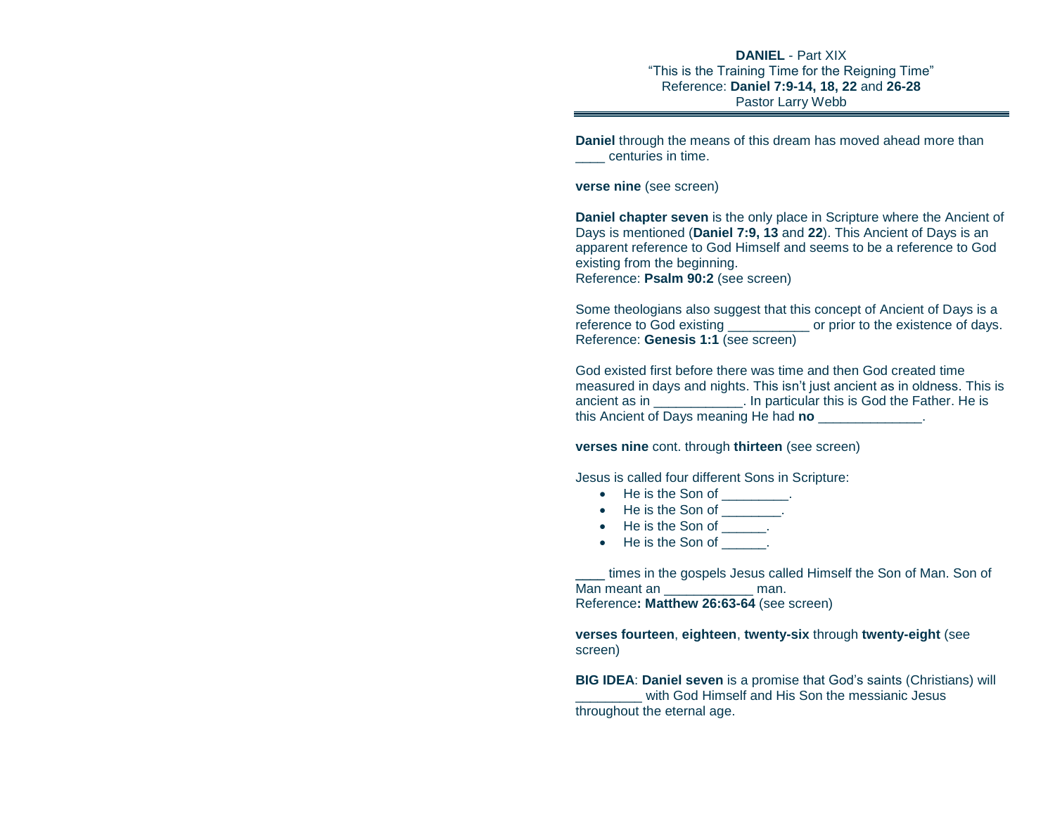## **DANIEL** - Part XIX "This is the Training Time for the Reigning Time" Reference: **Daniel 7:9-14, 18, 22** and **26-28** Pastor Larry Webb

**Daniel** through the means of this dream has moved ahead more than centuries in time.

**verse nine** (see screen)

**Daniel chapter seven** is the only place in Scripture where the Ancient of Days is mentioned (**Daniel 7:9, 13** and **22**). This Ancient of Days is an apparent reference to God Himself and seems to be a reference to God existing from the beginning. Reference: **Psalm 90:2** (see screen)

Some theologians also suggest that this concept of Ancient of Days is a reference to God existing \_\_\_\_\_\_\_\_\_\_\_ or prior to the existence of days. Reference: **Genesis 1:1** (see screen)

God existed first before there was time and then God created time measured in days and nights. This isn't just ancient as in oldness. This is ancient as in \_\_\_\_\_\_\_\_\_\_\_\_. In particular this is God the Father. He is this Ancient of Days meaning He had **no** \_\_\_\_\_\_\_\_\_\_\_\_\_\_.

**verses nine** cont. through **thirteen** (see screen)

Jesus is called four different Sons in Scripture:

- He is the Son of Fig.
- He is the Son of Fig.
- He is the Son of Fig.
- He is the Son of Fig.

times in the gospels Jesus called Himself the Son of Man. Son of Man meant an **Example 20** man. Reference**: Matthew 26:63-64** (see screen)

**verses fourteen**, **eighteen**, **twenty-six** through **twenty-eight** (see screen)

**BIG IDEA**: **Daniel seven** is a promise that God's saints (Christians) will with God Himself and His Son the messianic Jesus throughout the eternal age.